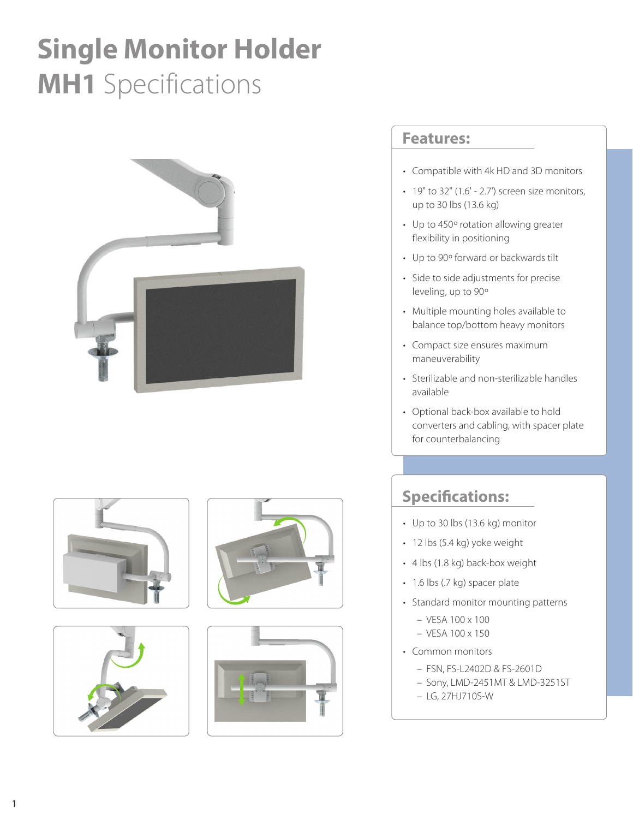## **Single Monitor Holder MH1** Specifications











## **Features:**

- Compatible with 4k HD and 3D monitors
- $\cdot$  19" to 32" (1.6' 2.7') screen size monitors, up to 30 lbs (13.6 kg)
- Up to 450º rotation allowing greater flexibility in positioning
- Up to 90º forward or backwards tilt
- Side to side adjustments for precise leveling, up to 90º
- Multiple mounting holes available to balance top/bottom heavy monitors
- Compact size ensures maximum maneuverability
- Sterilizable and non-sterilizable handles available
- Optional back-box available to hold converters and cabling, with spacer plate for counterbalancing

## **Specifications:**

- Up to 30 lbs (13.6 kg) monitor
- 12 lbs (5.4 kg) yoke weight
- 4 lbs (1.8 kg) back-box weight
- 1.6 lbs (.7 kg) spacer plate
- Standard monitor mounting patterns
	- $-$  VESA 100  $\times$  100
	- VESA 100 x 150
- Common monitors
	- FSN, FS-L2402D & FS-2601D
	- Sony, LMD-2451MT & LMD-3251ST
	- LG, 27HJ710S-W